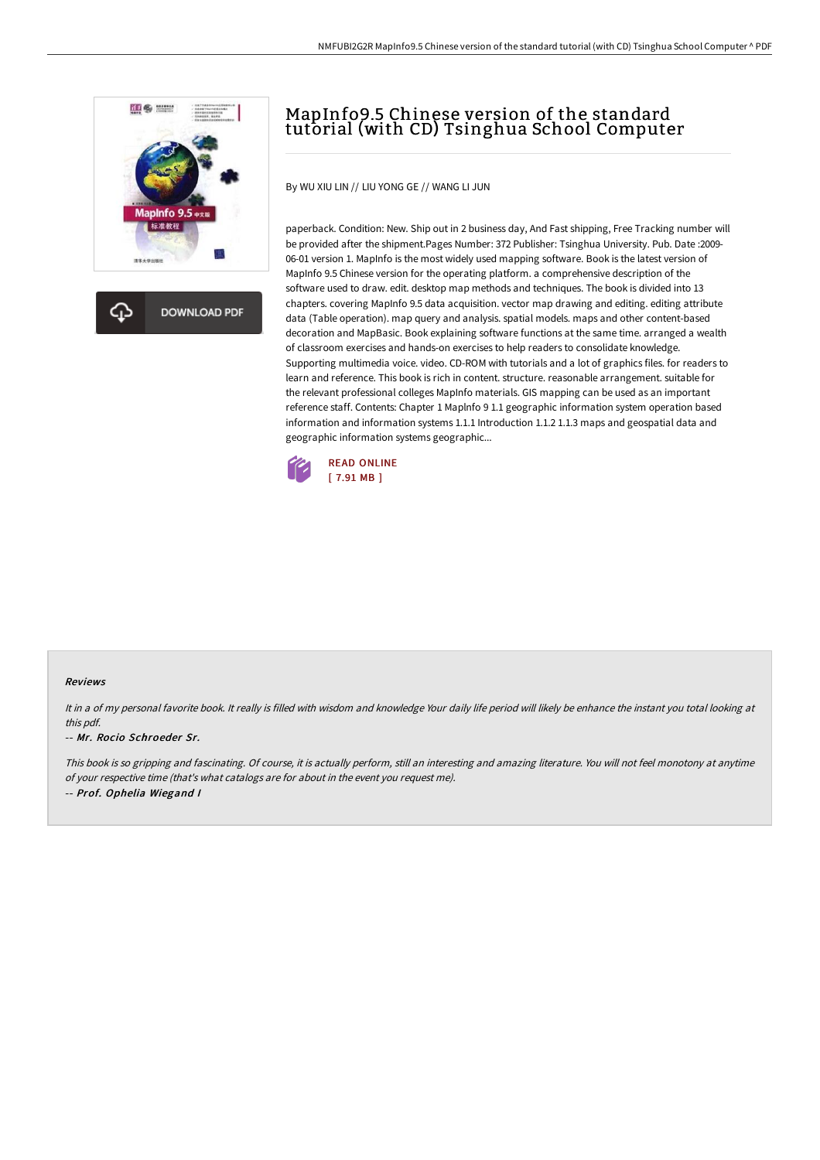

**DOWNLOAD PDF** 

# MapInfo9.5 Chinese version of the standard tutorial (with CD) Tsinghua School Computer

By WU XIU LIN // LIU YONG GE // WANG LI JUN

paperback. Condition: New. Ship out in 2 business day, And Fast shipping, Free Tracking number will be provided after the shipment.Pages Number: 372 Publisher: Tsinghua University. Pub. Date :2009- 06-01 version 1. MapInfo is the most widely used mapping software. Book is the latest version of MapInfo 9.5 Chinese version for the operating platform. a comprehensive description of the software used to draw. edit. desktop map methods and techniques. The book is divided into 13 chapters. covering MapInfo 9.5 data acquisition. vector map drawing and editing. editing attribute data (Table operation). map query and analysis. spatial models. maps and other content-based decoration and MapBasic. Book explaining software functions at the same time. arranged a wealth of classroom exercises and hands-on exercises to help readers to consolidate knowledge. Supporting multimedia voice. video. CD-ROM with tutorials and a lot of graphics files. for readers to learn and reference. This book is rich in content. structure. reasonable arrangement. suitable for the relevant professional colleges MapInfo materials. GIS mapping can be used as an important reference staff. Contents: Chapter 1 Maplnfo 9 1.1 geographic information system operation based information and information systems 1.1.1 Introduction 1.1.2 1.1.3 maps and geospatial data and geographic information systems geographic...



#### Reviews

It in a of my personal favorite book. It really is filled with wisdom and knowledge Your daily life period will likely be enhance the instant you total looking at this pdf.

#### -- Mr. Rocio Schroeder Sr.

This book is so gripping and fascinating. Of course, it is actually perform, still an interesting and amazing literature. You will not feel monotony at anytime of your respective time (that's what catalogs are for about in the event you request me). -- Prof. Ophelia Wiegand <sup>I</sup>